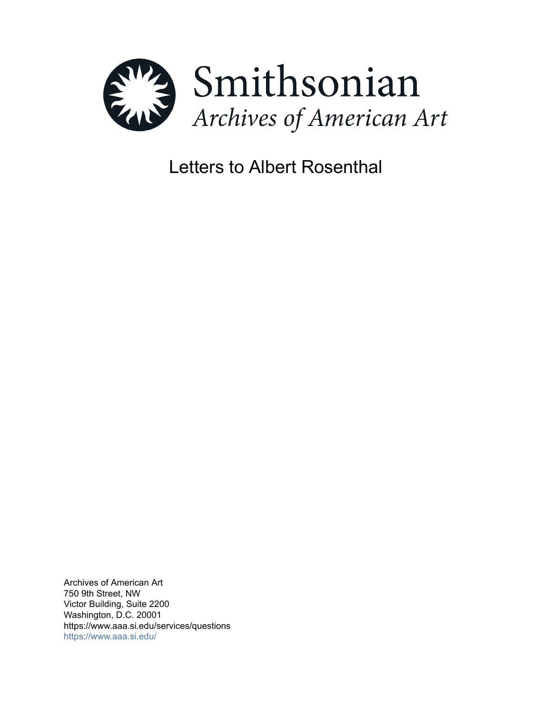

# Letters to Albert Rosenthal

Archives of American Art 750 9th Street, NW Victor Building, Suite 2200 Washington, D.C. 20001 https://www.aaa.si.edu/services/questions <https://www.aaa.si.edu/>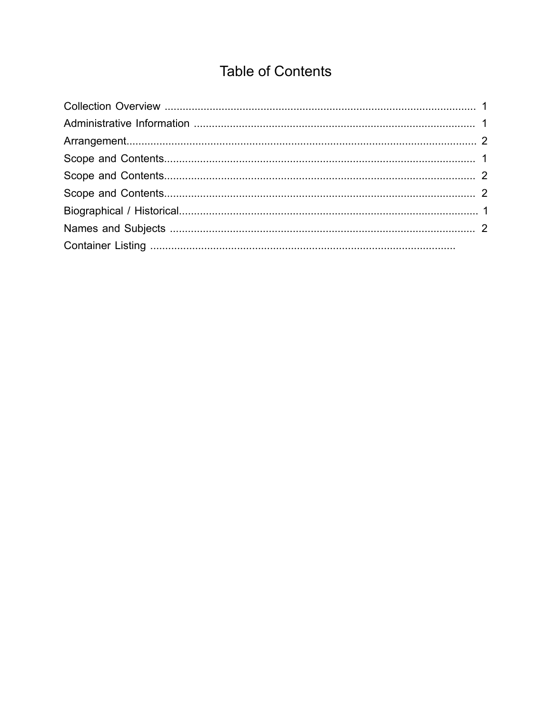## **Table of Contents**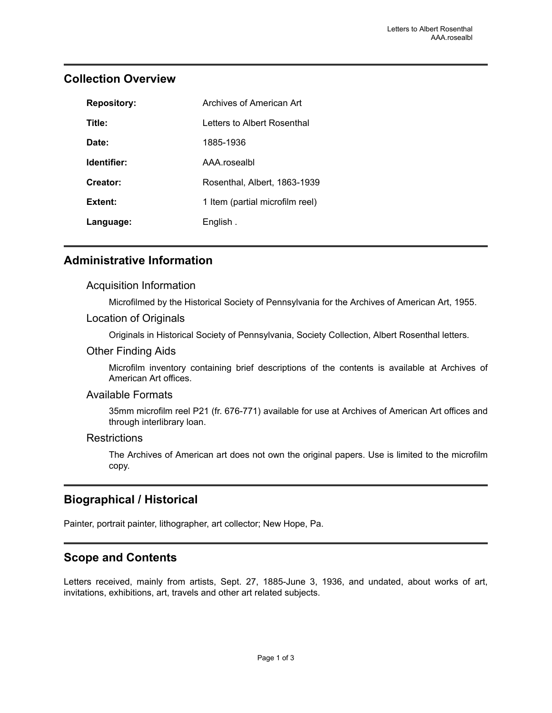| <b>Repository:</b> | Archives of American Art        |
|--------------------|---------------------------------|
| Title:             | Letters to Albert Rosenthal     |
| Date:              | 1885-1936                       |
| Identifier:        | AAA.rosealbl                    |
| Creator:           | Rosenthal, Albert, 1863-1939    |
| Extent:            | 1 Item (partial microfilm reel) |
| Language:          | English.                        |

### <span id="page-2-0"></span>**Collection Overview**

### <span id="page-2-1"></span>**Administrative Information**

#### Acquisition Information

Microfilmed by the Historical Society of Pennsylvania for the Archives of American Art, 1955.

#### Location of Originals

Originals in Historical Society of Pennsylvania, Society Collection, Albert Rosenthal letters.

#### Other Finding Aids

Microfilm inventory containing brief descriptions of the contents is available at Archives of American Art offices.

#### Available Formats

35mm microfilm reel P21 (fr. 676-771) available for use at Archives of American Art offices and through interlibrary loan.

#### **Restrictions**

The Archives of American art does not own the original papers. Use is limited to the microfilm copy.

## <span id="page-2-3"></span>**Biographical / Historical**

Painter, portrait painter, lithographer, art collector; New Hope, Pa.

## <span id="page-2-2"></span>**Scope and Contents**

Letters received, mainly from artists, Sept. 27, 1885-June 3, 1936, and undated, about works of art, invitations, exhibitions, art, travels and other art related subjects.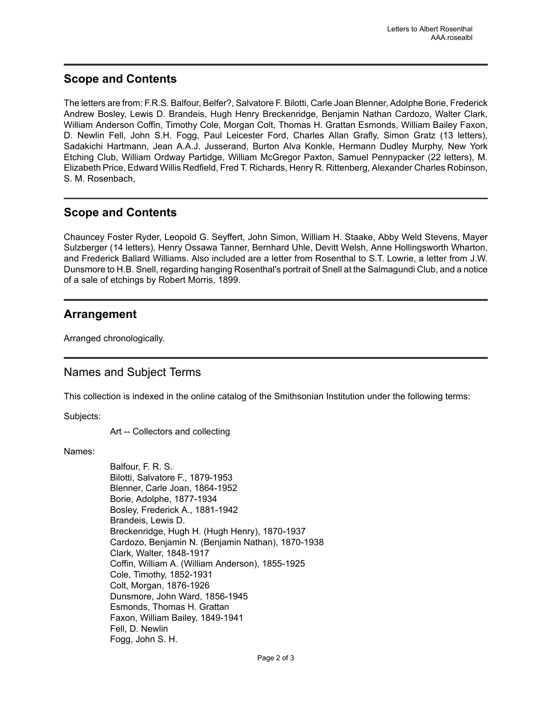#### <span id="page-3-1"></span>**Scope and Contents**

The letters are from: F.R.S. Balfour, Belfer?, Salvatore F. Bilotti, Carle Joan Blenner, Adolphe Borie, Frederick Andrew Bosley, Lewis D. Brandeis, Hugh Henry Breckenridge, Benjamin Nathan Cardozo, Walter Clark, William Anderson Coffin, Timothy Cole, Morgan Colt, Thomas H. Grattan Esmonds, William Bailey Faxon, D. Newlin Fell, John S.H. Fogg, Paul Leicester Ford, Charles Allan Grafly, Simon Gratz (13 letters), Sadakichi Hartmann, Jean A.A.J. Jusserand, Burton Alva Konkle, Hermann Dudley Murphy, New York Etching Club, William Ordway Partidge, William McGregor Paxton, Samuel Pennypacker (22 letters), M. Elizabeth Price, Edward Willis Redfield, Fred T. Richards, Henry R. Rittenberg, Alexander Charles Robinson, S. M. Rosenbach,

#### <span id="page-3-2"></span>**Scope and Contents**

Chauncey Foster Ryder, Leopold G. Seyffert, John Simon, William H. Staake, Abby Weld Stevens, Mayer Sulzberger (14 letters), Henry Ossawa Tanner, Bernhard Uhle, Devitt Welsh, Anne Hollingsworth Wharton, and Frederick Ballard Williams. Also included are a letter from Rosenthal to S.T. Lowrie, a letter from J.W. Dunsmore to H.B. Snell, regarding hanging Rosenthal's portrait of Snell at the Salmagundi Club, and a notice of a sale of etchings by Robert Morris, 1899.

#### <span id="page-3-0"></span>**Arrangement**

Arranged chronologically.

#### <span id="page-3-3"></span>Names and Subject Terms

This collection is indexed in the online catalog of the Smithsonian Institution under the following terms:

Subjects:

Art -- Collectors and collecting

Names:

Balfour, F. R. S. Bilotti, Salvatore F., 1879-1953 Blenner, Carle Joan, 1864-1952 Borie, Adolphe, 1877-1934 Bosley, Frederick A., 1881-1942 Brandeis, Lewis D. Breckenridge, Hugh H. (Hugh Henry), 1870-1937 Cardozo, Benjamin N. (Benjamin Nathan), 1870-1938 Clark, Walter, 1848-1917 Coffin, William A. (William Anderson), 1855-1925 Cole, Timothy, 1852-1931 Colt, Morgan, 1876-1926 Dunsmore, John Ward, 1856-1945 Esmonds, Thomas H. Grattan Faxon, William Bailey, 1849-1941 Fell, D. Newlin Fogg, John S. H.